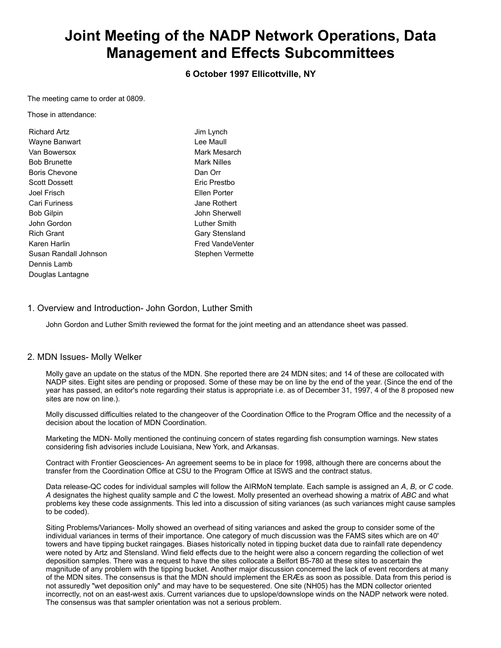# **Joint Meeting of the NADP Network Operations, Data Management and Effects Subcommittees**

**6 October 1997 Ellicottville, NY**

The meeting came to order at 0809.

Those in attendance:

| Richard Artz          | Jim Lynch          |
|-----------------------|--------------------|
| Wayne Banwart         | I ee Maull         |
| Van Bowersox          | Mark Mesarch       |
| <b>Bob Brunette</b>   | <b>Mark Nilles</b> |
| <b>Boris Chevone</b>  | Dan Orr            |
| <b>Scott Dossett</b>  | Eric Prestbo       |
| Joel Frisch           | Fllen Porter       |
| Cari Furiness         | Jane Rothert       |
| <b>Bob Gilpin</b>     | John Sherwell      |
| John Gordon           | Luther Smith       |
| <b>Rich Grant</b>     | Gary Stensland     |
| Karen Harlin          | Fred VandeVenter   |
| Susan Randall Johnson | Stephen Vermette   |
| Dennis Lamb           |                    |
| Douglas Lantagne      |                    |

# 1. Overview and Introduction- John Gordon, Luther Smith

John Gordon and Luther Smith reviewed the format for the joint meeting and an attendance sheet was passed.

#### 2. MDN Issues- Molly Welker

Molly gave an update on the status of the MDN. She reported there are 24 MDN sites; and 14 of these are collocated with NADP sites. Eight sites are pending or proposed. Some of these may be on line by the end of the year. (Since the end of the year has passed, an editor's note regarding their status is appropriate i.e. as of December 31, 1997, 4 of the 8 proposed new sites are now on line.).

Molly discussed difficulties related to the changeover of the Coordination Office to the Program Office and the necessity of a decision about the location of MDN Coordination.

Marketing the MDN- Molly mentioned the continuing concern of states regarding fish consumption warnings. New states considering fish advisories include Louisiana, New York, and Arkansas.

Contract with Frontier Geosciences- An agreement seems to be in place for 1998, although there are concerns about the transfer from the Coordination Office at CSU to the Program Office at ISWS and the contract status.

Data release-QC codes for individual samples will follow the AIRMoN template. Each sample is assigned an *A*, *B,* or *C* code. *A* designates the highest quality sample and *C* the lowest. Molly presented an overhead showing a matrix of *ABC* and what problems key these code assignments. This led into a discussion of siting variances (as such variances might cause samples to be coded).

Siting Problems/Variances- Molly showed an overhead of siting variances and asked the group to consider some of the individual variances in terms of their importance. One category of much discussion was the FAMS sites which are on 40' towers and have tipping bucket raingages. Biases historically noted in tipping bucket data due to rainfall rate dependency were noted by Artz and Stensland. Wind field effects due to the height were also a concern regarding the collection of wet deposition samples. There was a request to have the sites collocate a Belfort B5-780 at these sites to ascertain the magnitude of any problem with the tipping bucket. Another major discussion concerned the lack of event recorders at many of the MDN sites. The consensus is that the MDN should implement the ERÆs as soon as possible. Data from this period is not assuredly "wet deposition only" and may have to be sequestered. One site (NH05) has the MDN collector oriented incorrectly, not on an east-west axis. Current variances due to upslope/downslope winds on the NADP network were noted. The consensus was that sampler orientation was not a serious problem.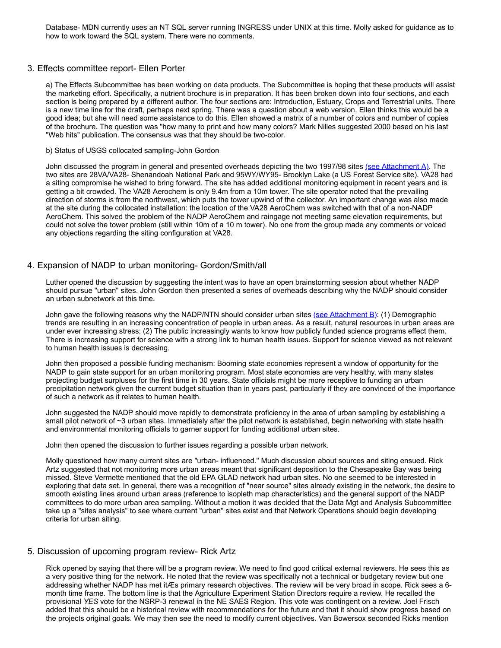Database- MDN currently uses an NT SQL server running INGRESS under UNIX at this time. Molly asked for guidance as to how to work toward the SQL system. There were no comments.

#### 3. Effects committee report- Ellen Porter

a) The Effects Subcommittee has been working on data products. The Subcommittee is hoping that these products will assist the marketing effort. Specifically, a nutrient brochure is in preparation. It has been broken down into four sections, and each section is being prepared by a different author. The four sections are: Introduction, Estuary, Crops and Terrestrial units. There is a new time line for the draft, perhaps next spring. There was a question about a web version. Ellen thinks this would be a good idea; but she will need some assistance to do this. Ellen showed a matrix of a number of colors and number of copies of the brochure. The question was "how many to print and how many colors? Mark Nilles suggested 2000 based on his last "Web hits" publication. The consensus was that they should be two-color.

#### b) Status of USGS collocated sampling-John Gordon

John discussed the program in general and presented overheads depicting the two 1997/98 sites [\(see Attachment A\)](file://slhnadpfile/Program%20Office/Meetings/oldWebMinutes/fall97/colloc.html). The two sites are 28VA/VA28- Shenandoah National Park and 95WY/WY95- Brooklyn Lake (a US Forest Service site). VA28 had a siting compromise he wished to bring forward. The site has added additional monitoring equipment in recent years and is getting a bit crowded. The VA28 Aerochem is only 9.4m from a 10m tower. The site operator noted that the prevailing direction of storms is from the northwest, which puts the tower upwind of the collector. An important change was also made at the site during the collocated installation: the location of the VA28 AeroChem was switched with that of a non-NADP AeroChem. This solved the problem of the NADP AeroChem and raingage not meeting same elevation requirements, but could not solve the tower problem (still within 10m of a 10 m tower). No one from the group made any comments or voiced any objections regarding the siting configuration at VA28.

### 4. Expansion of NADP to urban monitoring- Gordon/Smith/all

Luther opened the discussion by suggesting the intent was to have an open brainstorming session about whether NADP should pursue "urban" sites. John Gordon then presented a series of overheads describing why the NADP should consider an urban subnetwork at this time.

John gave the following reasons why the NADP/NTN should consider urban sites [\(see Attachment B\):](file://slhnadpfile/Program%20Office/Meetings/oldWebMinutes/fall97/urban_sampling.html) (1) Demographic trends are resulting in an increasing concentration of people in urban areas. As a result, natural resources in urban areas are under ever increasing stress; (2) The public increasingly wants to know how publicly funded science programs effect them. There is increasing support for science with a strong link to human health issues. Support for science viewed as not relevant to human health issues is decreasing.

John then proposed a possible funding mechanism: Booming state economies represent a window of opportunity for the NADP to gain state support for an urban monitoring program. Most state economies are very healthy, with many states projecting budget surpluses for the first time in 30 years. State officials might be more receptive to funding an urban precipitation network given the current budget situation than in years past, particularly if they are convinced of the importance of such a network as it relates to human health.

John suggested the NADP should move rapidly to demonstrate proficiency in the area of urban sampling by establishing a small pilot network of ~3 urban sites. Immediately after the pilot network is established, begin networking with state health and environmental monitoring officials to garner support for funding additional urban sites.

John then opened the discussion to further issues regarding a possible urban network.

Molly questioned how many current sites are "urban- influenced." Much discussion about sources and siting ensued. Rick Artz suggested that not monitoring more urban areas meant that significant deposition to the Chesapeake Bay was being missed. Steve Vermette mentioned that the old EPA GLAD network had urban sites. No one seemed to be interested in exploring that data set. In general, there was a recognition of "near source" sites already existing in the network, the desire to smooth existing lines around urban areas (reference to isopleth map characteristics) and the general support of the NADP committees to do more urban area sampling. Without a motion it was decided that the Data Mgt and Analysis Subcommittee take up a "sites analysis" to see where current "urban" sites exist and that Network Operations should begin developing criteria for urban siting.

#### 5. Discussion of upcoming program review- Rick Artz

Rick opened by saying that there will be a program review. We need to find good critical external reviewers. He sees this as a very positive thing for the network. He noted that the review was specifically not a technical or budgetary review but one addressing whether NADP has met itÆs primary research objectives. The review will be very broad in scope. Rick sees a 6 month time frame. The bottom line is that the Agriculture Experiment Station Directors require a review. He recalled the provisional *YES* vote for the NSRP-3 renewal in the NE SAES Region. This vote was contingent on a review. Joel Frisch added that this should be a historical review with recommendations for the future and that it should show progress based on the projects original goals. We may then see the need to modify current objectives. Van Bowersox seconded Ricks mention